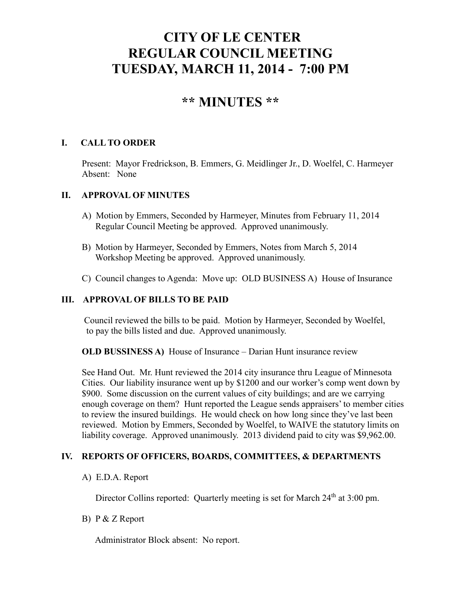# **CITY OF LE CENTER REGULAR COUNCIL MEETING TUESDAY, MARCH 11, 2014 - 7:00 PM**

## **\*\* MINUTES \*\***

#### **I. CALL TO ORDER**

Present: Mayor Fredrickson, B. Emmers, G. Meidlinger Jr., D. Woelfel, C. Harmeyer Absent: None

#### **II. APPROVAL OF MINUTES**

- A) Motion by Emmers, Seconded by Harmeyer, Minutes from February 11, 2014 Regular Council Meeting be approved. Approved unanimously.
- B) Motion by Harmeyer, Seconded by Emmers, Notes from March 5, 2014 Workshop Meeting be approved. Approved unanimously.
- C) Council changes to Agenda: Move up: OLD BUSINESS A) House of Insurance

### **III. APPROVAL OF BILLS TO BE PAID**

Council reviewed the bills to be paid. Motion by Harmeyer, Seconded by Woelfel, to pay the bills listed and due. Approved unanimously.

**OLD BUSSINESS A)** House of Insurance – Darian Hunt insurance review

See Hand Out. Mr. Hunt reviewed the 2014 city insurance thru League of Minnesota Cities. Our liability insurance went up by \$1200 and our worker's comp went down by \$900. Some discussion on the current values of city buildings; and are we carrying enough coverage on them? Hunt reported the League sends appraisers' to member cities to review the insured buildings. He would check on how long since they've last been reviewed. Motion by Emmers, Seconded by Woelfel, to WAIVE the statutory limits on liability coverage. Approved unanimously. 2013 dividend paid to city was \$9,962.00.

#### **IV. REPORTS OF OFFICERS, BOARDS, COMMITTEES, & DEPARTMENTS**

#### A) E.D.A. Report

Director Collins reported: Quarterly meeting is set for March 24<sup>th</sup> at 3:00 pm.

#### B) P & Z Report

Administrator Block absent: No report.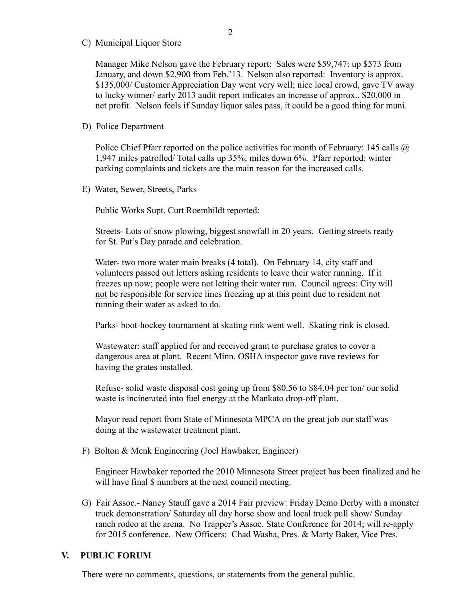C) Municipal Liquor Store

Manager Mike Nelson gave the February report: Sales were \$59,747: up \$573 from January, and down \$2,900 from Feb.'13. Nelson also reported: Inventory is approx. \$135,000/ Customer Appreciation Day went very well; nice local crowd, gave TV away to lucky winner/ early 2013 audit report indicates an increase of approx.. \$20,000 in net profit. Nelson feels if Sunday liquor sales pass, it could be a good thing for muni.

#### D) Police Department

Police Chief Pfarr reported on the police activities for month of February: 145 calls  $\omega$ 1,947 miles patrolled/ Total calls up 35%, miles down 6%. Pfarr reported: winter parking complaints and tickets are the main reason for the increased calls.

E) Water, Sewer, Streets, Parks

Public Works Supt. Curt Roemhildt reported:

 Streets- Lots of snow plowing, biggest snowfall in 20 years. Getting streets ready for St. Pat's Day parade and celebration.

 Water- two more water main breaks (4 total). On February 14, city staff and volunteers passed out letters asking residents to leave their water running. If it freezes up now; people were not letting their water run. Council agrees: City will not be responsible for service lines freezing up at this point due to resident not running their water as asked to do.

Parks- boot-hockey tournament at skating rink went well. Skating rink is closed.

 Wastewater: staff applied for and received grant to purchase grates to cover a dangerous area at plant. Recent Minn. OSHA inspector gave rave reviews for having the grates installed.

 Refuse- solid waste disposal cost going up from \$80.56 to \$84.04 per ton/ our solid waste is incinerated into fuel energy at the Mankato drop-off plant.

 Mayor read report from State of Minnesota MPCA on the great job our staff was doing at the wastewater treatment plant.

F) Bolton & Menk Engineering (Joel Hawbaker, Engineer)

 Engineer Hawbaker reported the 2010 Minnesota Street project has been finalized and he will have final \$ numbers at the next council meeting.

G) Fair Assoc.- Nancy Stauff gave a 2014 Fair preview: Friday Demo Derby with a monster truck demonstration/ Saturday all day horse show and local truck pull show/ Sunday ranch rodeo at the arena. No Trapper's Assoc. State Conference for 2014; will re-apply for 2015 conference. New Officers: Chad Washa, Pres. & Marty Baker, Vice Pres.

#### **V. PUBLIC FORUM**

There were no comments, questions, or statements from the general public.